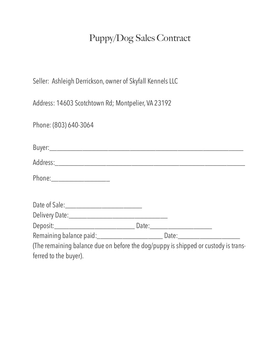## Puppy/Dog Sales Contract

Seller: Ashleigh Derrickson, owner of Skyfall Kennels LLC

|  | Address: 14603 Scotchtown Rd; Montpelier, VA 23192 |
|--|----------------------------------------------------|
|--|----------------------------------------------------|

Phone: (803) 640-3064

| (The remaining balance due on before the dog/puppy is shipped or custody is trans- |  |
|------------------------------------------------------------------------------------|--|
| ferred to the buyer).                                                              |  |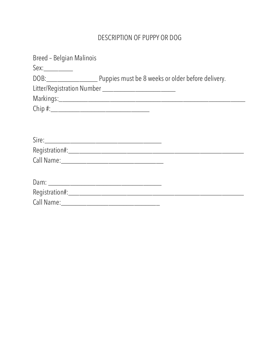## DESCRIPTION OF PUPPY OR DOG

| <b>Breed - Belgian Malinois</b> |                                                          |  |
|---------------------------------|----------------------------------------------------------|--|
| $Sex:\_\_\_\_\_\_\_\_\_\_\_\_$  |                                                          |  |
|                                 |                                                          |  |
|                                 | Litter/Registration Number _____________________________ |  |
|                                 |                                                          |  |
|                                 |                                                          |  |
|                                 |                                                          |  |
|                                 |                                                          |  |
|                                 |                                                          |  |
|                                 |                                                          |  |
|                                 |                                                          |  |
|                                 |                                                          |  |
|                                 |                                                          |  |
|                                 |                                                          |  |
|                                 |                                                          |  |
|                                 |                                                          |  |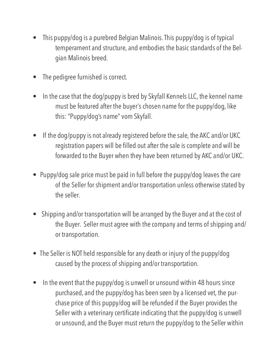- This puppy/dog is a purebred Belgian Malinois. This puppy/dog is of typical temperament and structure, and embodies the basic standards of the Belgian Malinois breed.
- The pedigree furnished is correct.
- In the case that the dog/puppy is bred by Skyfall Kennels LLC, the kennel name must be featured after the buyer's chosen name for the puppy/dog, like this: "Puppy/dog's name" vom Skyfall.
- If the dog/puppy is not already registered before the sale, the AKC and/or UKC registration papers will be filled out after the sale is complete and will be forwarded to the Buyer when they have been returned by AKC and/or UKC.
- Puppy/dog sale price must be paid in full before the puppy/dog leaves the care of the Seller for shipment and/or transportation unless otherwise stated by the seller.
- Shipping and/or transportation will be arranged by the Buyer and at the cost of the Buyer. Seller must agree with the company and terms of shipping and/ or transportation.
- The Seller is NOT held responsible for any death or injury of the puppy/dog caused by the process of shipping and/or transportation.
- In the event that the puppy/dog is unwell or unsound within 48 hours since purchased, and the puppy/dog has been seen by a licensed vet, the purchase price of this puppy/dog will be refunded if the Buyer provides the Seller with a veterinary certificate indicating that the puppy/dog is unwell or unsound, and the Buyer must return the puppy/dog to the Seller within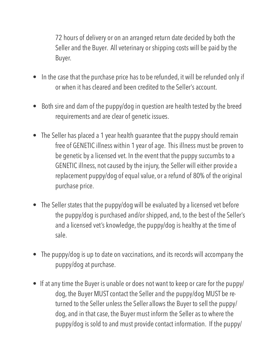72 hours of delivery or on an arranged return date decided by both the Seller and the Buyer. All veterinary or shipping costs will be paid by the Buyer.

- In the case that the purchase price has to be refunded, it will be refunded only if or when it has cleared and been credited to the Seller's account.
- Both sire and dam of the puppy/dog in question are health tested by the breed requirements and are clear of genetic issues.
- The Seller has placed a 1 year health guarantee that the puppy should remain free of GENETIC illness within 1 year of age. This illness must be proven to be genetic by a licensed vet. In the event that the puppy succumbs to a GENETIC illness, not caused by the injury, the Seller will either provide a replacement puppy/dog of equal value, or a refund of 80% of the original purchase price.
- The Seller states that the puppy/dog will be evaluated by a licensed vet before the puppy/dog is purchased and/or shipped, and, to the best of the Seller's and a licensed vet's knowledge, the puppy/dog is healthy at the time of sale.
- The puppy/dog is up to date on vaccinations, and its records will accompany the puppy/dog at purchase.
- If at any time the Buyer is unable or does not want to keep or care for the puppy/ dog, the Buyer MUST contact the Seller and the puppy/dog MUST be returned to the Seller unless the Seller allows the Buyer to sell the puppy/ dog, and in that case, the Buyer must inform the Seller as to where the puppy/dog is sold to and must provide contact information. If the puppy/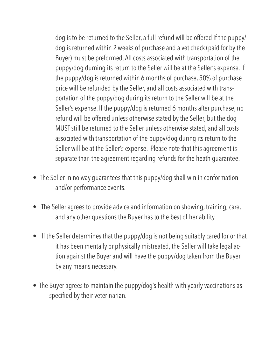dog is to be returned to the Seller, a full refund will be offered if the puppy/ dog is returned within 2 weeks of purchase and a vet check (paid for by the Buyer) must be preformed. All costs associated with transportation of the puppy/dog durning its return to the Seller will be at the Seller's expense. If the puppy/dog is returned within 6 months of purchase, 50% of purchase price will be refunded by the Seller, and all costs associated with transportation of the puppy/dog during its return to the Seller will be at the Seller's expense. If the puppy/dog is returned 6 months after purchase, no refund will be offered unless otherwise stated by the Seller, but the dog MUST still be returned to the Seller unless otherwise stated, and all costs associated with transportation of the puppy/dog during its return to the Seller will be at the Seller's expense. Please note that this agreement is separate than the agreement regarding refunds for the heath guarantee.

- The Seller in no way guarantees that this puppy/dog shall win in conformation and/or performance events.
- The Seller agrees to provide advice and information on showing, training, care, and any other questions the Buyer has to the best of her ability.
- If the Seller determines that the puppy/dog is not being suitably cared for or that it has been mentally or physically mistreated, the Seller will take legal action against the Buyer and will have the puppy/dog taken from the Buyer by any means necessary.
- The Buyer agrees to maintain the puppy/dog's health with yearly vaccinations as specified by their veterinarian.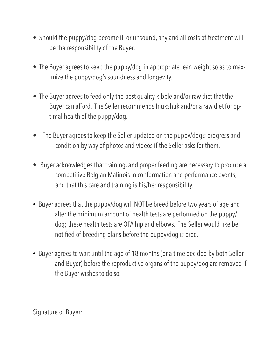- Should the puppy/dog become ill or unsound, any and all costs of treatment will be the responsibility of the Buyer.
- The Buyer agrees to keep the puppy/dog in appropriate lean weight so as to maximize the puppy/dog's soundness and longevity.
- The Buyer agrees to feed only the best quality kibble and/or raw diet that the Buyer can afford. The Seller recommends Inukshuk and/or a raw diet for optimal health of the puppy/dog.
- The Buyer agrees to keep the Seller updated on the puppy/dog's progress and condition by way of photos and videos if the Seller asks for them.
- Buyer acknowledges that training, and proper feeding are necessary to produce a competitive Belgian Malinois in conformation and performance events, and that this care and training is his/her responsibility.
- Buyer agrees that the puppy/dog will NOT be breed before two years of age and after the minimum amount of health tests are performed on the puppy/ dog; these health tests are OFA hip and elbows. The Seller would like be notified of breeding plans before the puppy/dog is bred.
- Buyer agrees to wait until the age of 18 months (or a time decided by both Seller and Buyer) before the reproductive organs of the puppy/dog are removed if the Buyer wishes to do so.

Signature of Buyer: